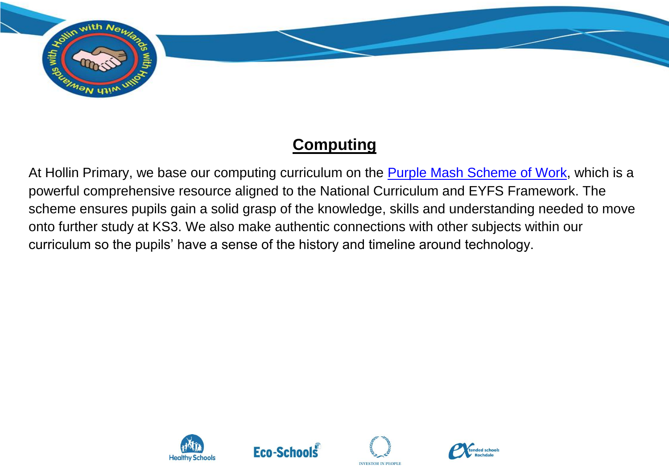

## **Computing**

At Hollin Primary, we base our computing curriculum on the **Purple Mash Scheme of Work**, which is a powerful comprehensive resource aligned to the National Curriculum and EYFS Framework. The scheme ensures pupils gain a solid grasp of the knowledge, skills and understanding needed to move onto further study at KS3. We also make authentic connections with other subjects within our curriculum so the pupils' have a sense of the history and timeline around technology.